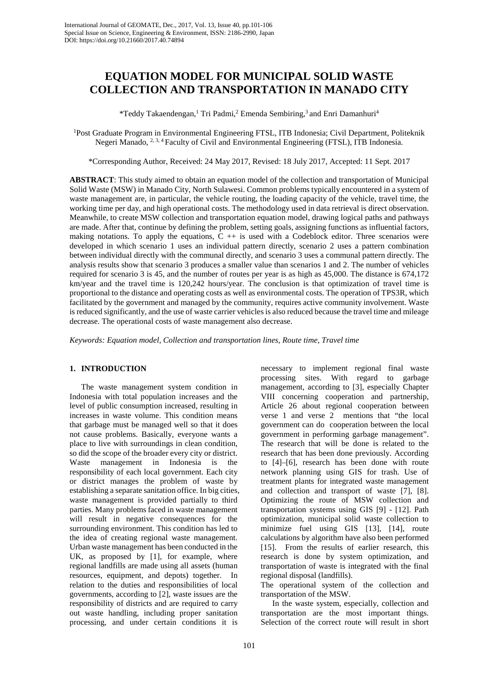# **EQUATION MODEL FOR MUNICIPAL SOLID WASTE COLLECTION AND TRANSPORTATION IN MANADO CITY**

\*Teddy Takaendengan, <sup>1</sup> Tri Padmi, <sup>2</sup> Emenda Sembiring, 3 and Enri Damanhuri4

1 Post Graduate Program in Environmental Engineering FTSL, ITB Indonesia; Civil Department, Politeknik Negeri Manado, <sup>2, 3, 4</sup> Faculty of Civil and Environmental Engineering (FTSL), ITB Indonesia.

\*Corresponding Author, Received: 24 May 2017, Revised: 18 July 2017, Accepted: 11 Sept. 2017

**ABSTRACT**: This study aimed to obtain an equation model of the collection and transportation of Municipal Solid Waste (MSW) in Manado City, North Sulawesi. Common problems typically encountered in a system of waste management are, in particular, the vehicle routing, the loading capacity of the vehicle, travel time, the working time per day, and high operational costs. The methodology used in data retrieval is direct observation. Meanwhile, to create MSW collection and transportation equation model, drawing logical paths and pathways are made. After that, continue by defining the problem, setting goals, assigning functions as influential factors, making notations. To apply the equations,  $C + i$  is used with a Codeblock editor. Three scenarios were developed in which scenario 1 uses an individual pattern directly, scenario 2 uses a pattern combination between individual directly with the communal directly, and scenario 3 uses a communal pattern directly. The analysis results show that scenario 3 produces a smaller value than scenarios 1 and 2. The number of vehicles required for scenario 3 is 45, and the number of routes per year is as high as 45,000. The distance is 674,172 km/year and the travel time is 120,242 hours/year. The conclusion is that optimization of travel time is proportional to the distance and operating costs as well as environmental costs. The operation of TPS3R, which facilitated by the government and managed by the community, requires active community involvement. Waste is reduced significantly, and the use of waste carrier vehicles is also reduced because the travel time and mileage decrease. The operational costs of waste management also decrease.

*Keywords: Equation model, Collection and transportation lines, Route time, Travel time*

## **1. INTRODUCTION**

The waste management system condition in Indonesia with total population increases and the level of public consumption increased, resulting in increases in waste volume. This condition means that garbage must be managed well so that it does not cause problems. Basically, everyone wants a place to live with surroundings in clean condition, so did the scope of the broader every city or district.<br>Waste management in Indonesia is the management in Indonesia is the responsibility of each local government. Each city or district manages the problem of waste by establishing a separate sanitation office. In big cities, waste management is provided partially to third parties. Many problems faced in waste management will result in negative consequences for the surrounding environment. This condition has led to the idea of creating regional waste management. Urban waste management has been conducted in the UK, as proposed by [1], for example, where regional landfills are made using all assets (human resources, equipment, and depots) together. In relation to the duties and responsibilities of local governments, according to [2], waste issues are the responsibility of districts and are required to carry out waste handling, including proper sanitation processing, and under certain conditions it is

necessary to implement regional final waste processing sites. With regard to garbage management, according to [3], especially Chapter VIII concerning cooperation and partnership, Article 26 about regional cooperation between verse 1 and verse 2 mentions that "the local government can do cooperation between the local government in performing garbage management". The research that will be done is related to the research that has been done previously. According to [4]–[6], research has been done with route network planning using GIS for trash. Use of treatment plants for integrated waste management and collection and transport of waste [7], [8]. Optimizing the route of MSW collection and transportation systems using GIS [9] - [12]. Path optimization, municipal solid waste collection to minimize fuel using GIS [13], [14], route calculations by algorithm have also been performed [15]. From the results of earlier research, this research is done by system optimization, and transportation of waste is integrated with the final regional disposal (landfills).

The operational system of the collection and transportation of the MSW.

In the waste system, especially, collection and transportation are the most important things. Selection of the correct route will result in short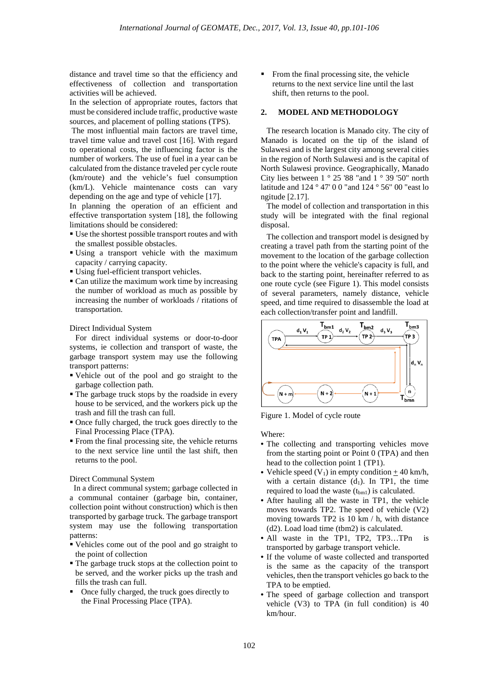distance and travel time so that the efficiency and effectiveness of collection and transportation activities will be achieved.

In the selection of appropriate routes, factors that must be considered include traffic, productive waste sources, and placement of polling stations (TPS).

The most influential main factors are travel time, travel time value and travel cost [16]. With regard to operational costs, the influencing factor is the number of workers. The use of fuel in a year can be calculated from the distance traveled per cycle route (km/route) and the vehicle's fuel consumption (km/L). Vehicle maintenance costs can vary depending on the age and type of vehicle [17].

In planning the operation of an efficient and effective transportation system [18], the following limitations should be considered:

- Use the shortest possible transport routes and with the smallest possible obstacles.
- Using a transport vehicle with the maximum capacity / carrying capacity.
- Using fuel-efficient transport vehicles.
- Can utilize the maximum work time by increasing the number of workload as much as possible by increasing the number of workloads / ritations of transportation.

Direct Individual System

For direct individual systems or door-to-door systems, ie collection and transport of waste, the garbage transport system may use the following transport patterns:

- Vehicle out of the pool and go straight to the garbage collection path.
- The garbage truck stops by the roadside in every house to be serviced, and the workers pick up the trash and fill the trash can full.
- Once fully charged, the truck goes directly to the Final Processing Place (TPA).
- From the final processing site, the vehicle returns to the next service line until the last shift, then returns to the pool.

## Direct Communal System

 In a direct communal system; garbage collected in a communal container (garbage bin, container, collection point without construction) which is then transported by garbage truck. The garbage transport system may use the following transportation patterns:

- Vehicles come out of the pool and go straight to the point of collection
- The garbage truck stops at the collection point to be served, and the worker picks up the trash and fills the trash can full.
- Once fully charged, the truck goes directly to the Final Processing Place (TPA).

• From the final processing site, the vehicle returns to the next service line until the last shift, then returns to the pool.

## **2. MODEL AND METHODOLOGY**

The research location is Manado city. The city of Manado is located on the tip of the island of Sulawesi and is the largest city among several cities in the region of North Sulawesi and is the capital of North Sulawesi province. Geographically, Manado City lies between  $1 \degree 25$  '88 "and  $1 \degree 39$  '50" north latitude and 124 ° 47' 0 0 "and 124 ° 56" 00 "east lo ngitude [2.17].

The model of collection and transportation in this study will be integrated with the final regional disposal.

The collection and transport model is designed by creating a travel path from the starting point of the movement to the location of the garbage collection to the point where the vehicle's capacity is full, and back to the starting point, hereinafter referred to as one route cycle (see Figure 1). This model consists of several parameters, namely distance, vehicle speed, and time required to disassemble the load at each collection/transfer point and landfill.



Figure 1. Model of cycle route

Where:

- The collecting and transporting vehicles move from the starting point or Point 0 (TPA) and then head to the collection point 1 (TP1).
- Vehicle speed  $(V_1)$  in empty condition  $\pm$  40 km/h, with a certain distance  $(d_1)$ . In TP1, the time required to load the waste  $(t_{bm1})$  is calculated.
- After hauling all the waste in TP1, the vehicle moves towards TP2. The speed of vehicle (V2) moving towards TP2 is 10 km / h, with distance (d2). Load load time (tbm2) is calculated.
- All waste in the TP1, TP2, TP3...TPn is transported by garbage transport vehicle.
- If the volume of waste collected and transported is the same as the capacity of the transport vehicles, then the transport vehicles go back to the TPA to be emptied.
- The speed of garbage collection and transport vehicle (V3) to TPA (in full condition) is 40 km/hour.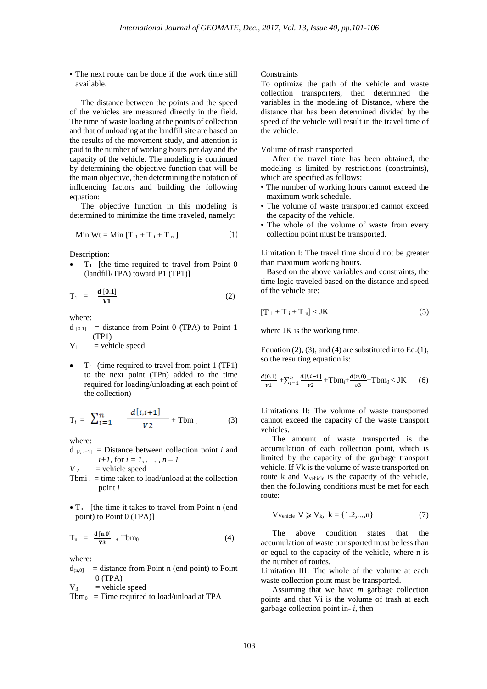• The next route can be done if the work time still available.

The distance between the points and the speed of the vehicles are measured directly in the field. The time of waste loading at the points of collection and that of unloading at the landfill site are based on the results of the movement study, and attention is paid to the number of working hours per day and the capacity of the vehicle. The modeling is continued by determining the objective function that will be the main objective, then determining the notation of influencing factors and building the following equation:

The objective function in this modeling is determined to minimize the time traveled, namely:

$$
\text{Min Wt} = \text{Min} \left[ \text{T}_1 + \text{T}_i + \text{T}_n \right] \tag{1}
$$

Description:

 $T_1$  [the time required to travel from Point 0 (landfill/TPA) toward P1 (TP1)]

$$
T_1 = \frac{d\left[0.1\right]}{V1} \tag{2}
$$

where:

 $d_{[0,1]}$  = distance from Point 0 (TPA) to Point 1 (TP1)

 $V_1$  = vehicle speed

 $T_i$  (time required to travel from point 1 (TP1) to the next point (TPn) added to the time required for loading/unloading at each point of the collection)

$$
T_i = \sum_{i=1}^{n} \frac{d[i, i+1]}{V2} + \text{Tbm}_i \tag{3}
$$

where:

 $d_{[i, i+1]}$  = Distance between collection point *i* and *i*+*1*, for  $i = 1, ..., n - 1$ 

 $V_2$  = vehicle speed

- Tbmi  $i =$  time taken to load/unload at the collection point *i*
- $\bullet$  T<sub>n</sub> [the time it takes to travel from Point n (end) point) to Point 0 (TPA)]

$$
T_n = \frac{d [n.0]}{v3} + Tbm_0 \tag{4}
$$

where:

 $d_{(n,0)}$  = distance from Point n (end point) to Point  $0$  (TPA)

 $V_3$  = vehicle speed

 $Tbm_0$  = Time required to load/unload at TPA

## **Constraints**

To optimize the path of the vehicle and waste collection transporters, then determined the variables in the modeling of Distance, where the distance that has been determined divided by the speed of the vehicle will result in the travel time of the vehicle.

## Volume of trash transported

After the travel time has been obtained, the modeling is limited by restrictions (constraints), which are specified as follows:

- The number of working hours cannot exceed the maximum work schedule.
- The volume of waste transported cannot exceed the capacity of the vehicle.
- The whole of the volume of waste from every collection point must be transported.

Limitation I: The travel time should not be greater than maximum working hours.

Based on the above variables and constraints, the time logic traveled based on the distance and speed of the vehicle are:

$$
[T_1 + T_i + T_n] < JK \tag{5}
$$

where JK is the working time.

Equation  $(2)$ ,  $(3)$ , and  $(4)$  are substituted into Eq. $(1)$ , so the resulting equation is:

$$
\frac{d(0,1)}{v1} + \sum_{i=1}^{n} \frac{d[i,i+1]}{v2} + \text{Tbm}_{i} + \frac{d(n,0)}{v3} + \text{Tbm}_{0} \le \text{JK} \qquad (6)
$$

Limitations II: The volume of waste transported cannot exceed the capacity of the waste transport vehicles.

The amount of waste transported is the accumulation of each collection point, which is limited by the capacity of the garbage transport vehicle. If Vk is the volume of waste transported on route k and Vvehicle is the capacity of the vehicle, then the following conditions must be met for each route:

$$
V_{\text{Vehicle}} \quad \forall \geqslant V_k, \ k = \{1.2,...,n\} \tag{7}
$$

The above condition states that the accumulation of waste transported must be less than or equal to the capacity of the vehicle, where n is the number of routes.

Limitation III: The whole of the volume at each waste collection point must be transported.

Assuming that we have *m* garbage collection points and that Vi is the volume of trash at each garbage collection point in- *i*, then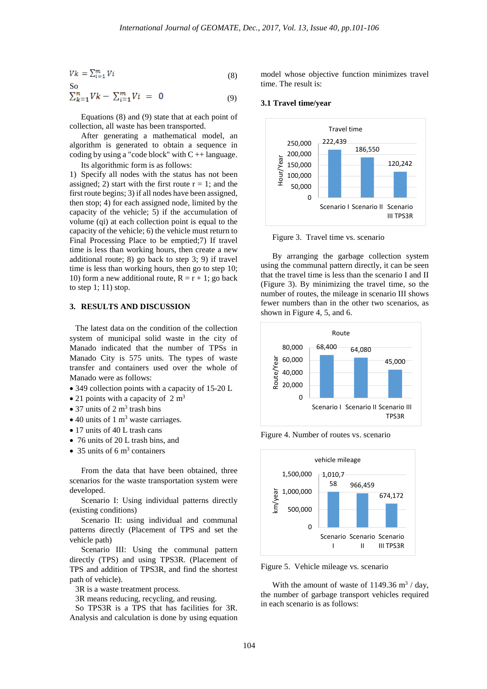$$
Vk = \sum_{i=1}^{m} Vi \tag{8}
$$

So  
\n
$$
\sum_{k=1}^{n}Vk - \sum_{i=1}^{m}Vi = 0
$$
\n(9)

Equations (8) and (9) state that at each point of collection, all waste has been transported.

After generating a mathematical model, an algorithm is generated to obtain a sequence in coding by using a "code block" with  $C + 1$  language. Its algorithmic form is as follows:

1) Specify all nodes with the status has not been assigned; 2) start with the first route  $r = 1$ ; and the first route begins; 3) if all nodes have been assigned, then stop; 4) for each assigned node, limited by the capacity of the vehicle; 5) if the accumulation of volume (qi) at each collection point is equal to the capacity of the vehicle; 6) the vehicle must return to Final Processing Place to be emptied;7) If travel time is less than working hours, then create a new additional route; 8) go back to step 3; 9) if travel time is less than working hours, then go to step 10; 10) form a new additional route,  $R = r + 1$ ; go back to step 1; 11) stop.

## **3. RESULTS AND DISCUSSION**

The latest data on the condition of the collection system of municipal solid waste in the city of Manado indicated that the number of TPSs in Manado City is 575 units. The types of waste transfer and containers used over the whole of Manado were as follows:

- 349 collection points with a capacity of 15-20 L
- 21 points with a capacity of  $2 \text{ m}^3$
- 37 units of 2  $m<sup>3</sup>$  trash bins
- $\bullet$  40 units of 1 m<sup>3</sup> waste carriages.
- 17 units of 40 L trash cans
- 76 units of 20 L trash bins, and
- 35 units of 6  $\text{m}^3$  containers

From the data that have been obtained, three scenarios for the waste transportation system were developed.

Scenario I: Using individual patterns directly (existing conditions)

Scenario II: using individual and communal patterns directly (Placement of TPS and set the vehicle path)

Scenario III: Using the communal pattern directly (TPS) and using TPS3R. (Placement of TPS and addition of TPS3R, and find the shortest path of vehicle).

3R is a waste treatment process.

3R means reducing, recycling, and reusing.

So TPS3R is a TPS that has facilities for 3R. Analysis and calculation is done by using equation model whose objective function minimizes travel time. The result is:

## **3.1 Travel time/year**



Figure 3. Travel time vs. scenario

By arranging the garbage collection system using the communal pattern directly, it can be seen that the travel time is less than the scenario I and II (Figure 3). By minimizing the travel time, so the number of routes, the mileage in scenario III shows fewer numbers than in the other two scenarios, as shown in Figure 4, 5, and 6.



Figure 4. Number of routes vs. scenario



Figure 5. Vehicle mileage vs. scenario

With the amount of waste of 1149.36  $\text{m}^3$  / day, the number of garbage transport vehicles required in each scenario is as follows: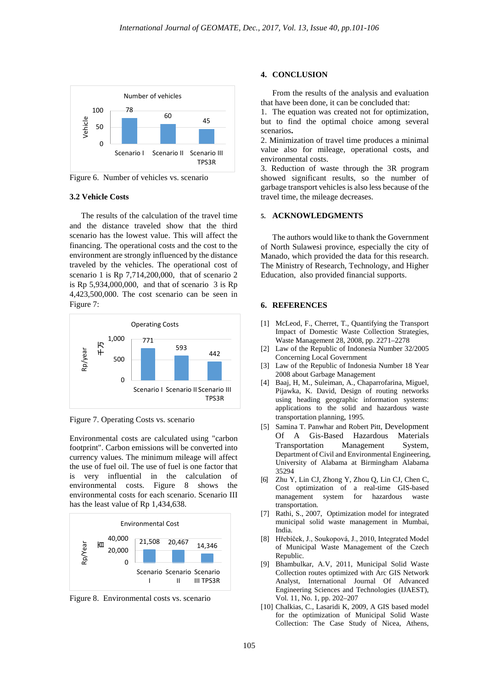

Figure 6. Number of vehicles vs. scenario

#### **3.2 Vehicle Costs**

The results of the calculation of the travel time and the distance traveled show that the third scenario has the lowest value. This will affect the financing. The operational costs and the cost to the environment are strongly influenced by the distance traveled by the vehicles. The operational cost of scenario 1 is Rp 7,714,200,000, that of scenario 2 is Rp  $5,934,000,000$ , and that of scenario  $3$  is Rp 4,423,500,000. The cost scenario can be seen in Figure 7:



Figure 7. Operating Costs vs. scenario

Environmental costs are calculated using "carbon footprint". Carbon emissions will be converted into currency values. The minimum mileage will affect the use of fuel oil. The use of fuel is one factor that is very influential in the calculation of environmental costs. Figure 8 shows the environmental costs for each scenario. Scenario III has the least value of Rp 1,434,638.



Figure 8. Environmental costs vs. scenario

### **4. CONCLUSION**

From the results of the analysis and evaluation that have been done, it can be concluded that:

1. The equation was created not for optimization, but to find the optimal choice among several scenarios**.** 

2. Minimization of travel time produces a minimal value also for mileage, operational costs, and environmental costs.

3. Reduction of waste through the 3R program showed significant results, so the number of garbage transport vehicles is also less because of the travel time, the mileage decreases.

#### **5. ACKNOWLEDGMENTS**

The authors would like to thank the Government of North Sulawesi province, especially the city of Manado, which provided the data for this research. The Ministry of Research, Technology, and Higher Education, also provided financial supports.

#### **6. REFERENCES**

- [1] McLeod, F., Cherret, T., Quantifying the Transport Impact of Domestic Waste Collection Strategies, Waste Management 28, 2008, pp. 2271–2278
- [2] Law of the Republic of Indonesia Number 32/2005 Concerning Local Government
- [3] Law of the Republic of Indonesia Number 18 Year 2008 about Garbage Management
- [4] Baaj, H, M., Suleiman, A., Chaparrofarina, Miguel, Pijawka, K. David, Design of routing networks using heading geographic information systems: applications to the solid and hazardous waste transportation planning, 1995.
- [5] Samina T. Panwhar and Robert Pitt, Development Of A Gis-Based Hazardous Materials Transportation Management System, Department of Civil and Environmental Engineering, University of Alabama at Birmingham Alabama 35294
- [6] [Zhu Y,](http://www.ncbi.nlm.nih.gov/pubmed?term=Zhu%20Y%5BAuthor%5D&cauthor=true&cauthor_uid=20103571) [Lin CJ,](http://www.ncbi.nlm.nih.gov/pubmed?term=Lin%20CJ%5BAuthor%5D&cauthor=true&cauthor_uid=20103571) [Zhong Y,](http://www.ncbi.nlm.nih.gov/pubmed?term=Zhong%20Y%5BAuthor%5D&cauthor=true&cauthor_uid=20103571) [Zhou Q,](http://www.ncbi.nlm.nih.gov/pubmed?term=Zhou%20Q%5BAuthor%5D&cauthor=true&cauthor_uid=20103571) [Lin CJ,](http://www.ncbi.nlm.nih.gov/pubmed?term=Lin%20CJ%5BAuthor%5D&cauthor=true&cauthor_uid=20103571) [Chen C,](http://www.ncbi.nlm.nih.gov/pubmed?term=Chen%20C%5BAuthor%5D&cauthor=true&cauthor_uid=20103571) Cost optimization of a real-time GIS-based for hazardous waste transportation.
- [7] Rathi, S., 2007, Optimization model for integrated municipal solid waste management in Mumbai, India.
- [8] Hřebíček, J., Soukopová, J., 2010, Integrated Model of Municipal Waste Management of the Czech Republic.
- [9] Bhambulkar, A.V, 2011, Municipal Solid Waste Collection routes optimized with Arc GIS Network Analyst, International Journal Of Advanced Engineering Sciences and Technologies (IJAEST), Vol. 11, No. 1, pp. 202–207
- [10] Chalkias, C., Lasaridi K, 2009, A GIS based model for the optimization of Municipal Solid Waste Collection: The Case Study of Nicea, Athens,